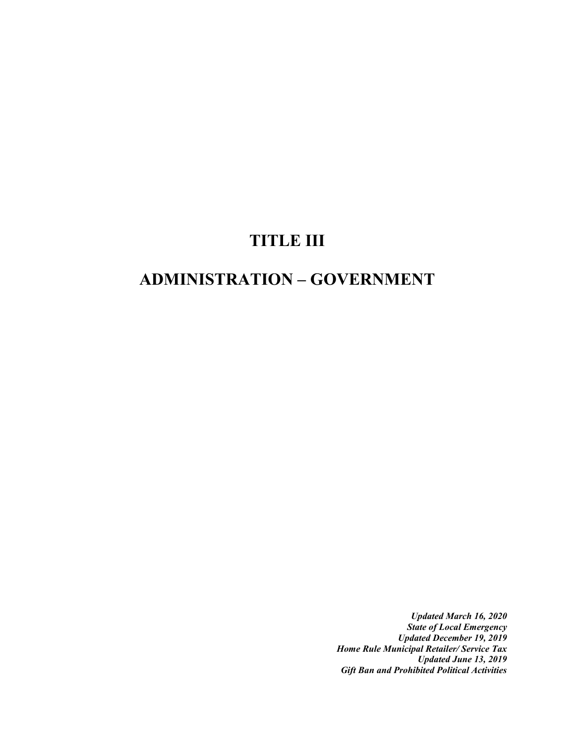# **TITLE III**

# **ADMINISTRATION – GOVERNMENT**

*Updated March 16, 2020 State of Local Emergency Updated December 19, 2019 Home Rule Municipal Retailer/ Service Tax Updated June 13, 2019 Gift Ban and Prohibited Political Activities*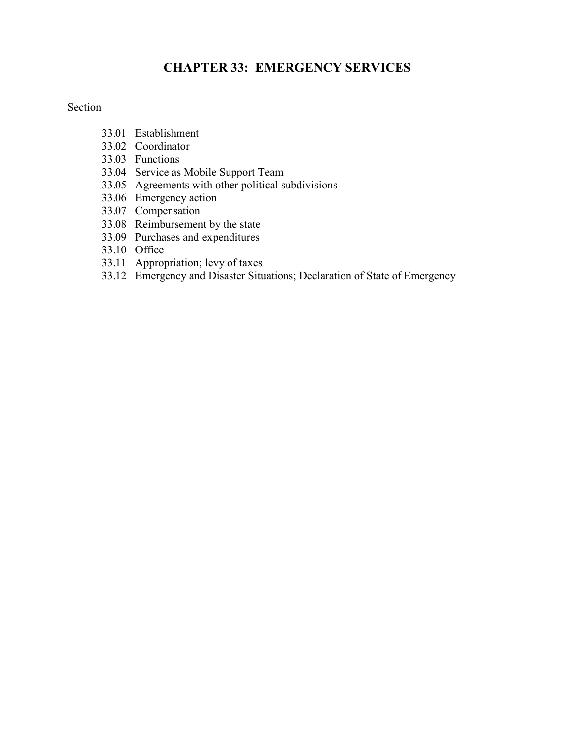# **CHAPTER 33: EMERGENCY SERVICES**

#### Section

- 33.01 Establishment
- 33.02 Coordinator
- 33.03 Functions
- 33.04 Service as Mobile Support Team
- 33.05 Agreements with other political subdivisions
- 33.06 Emergency action
- 33.07 Compensation
- 33.08 Reimbursement by the state
- 33.09 Purchases and expenditures
- 33.10 Office
- 33.11 Appropriation; levy of taxes
- 33.12 Emergency and Disaster Situations; Declaration of State of Emergency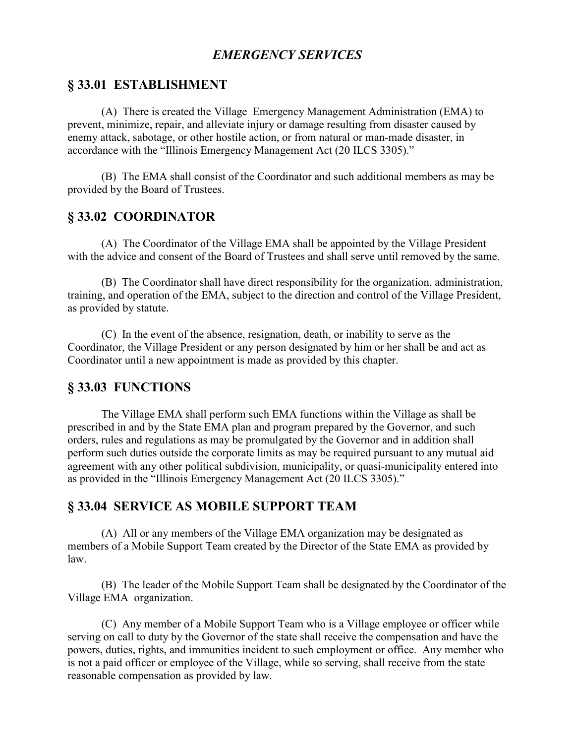# *EMERGENCY SERVICES*

#### **§ 33.01 ESTABLISHMENT**

(A) There is created the Village Emergency Management Administration (EMA) to prevent, minimize, repair, and alleviate injury or damage resulting from disaster caused by enemy attack, sabotage, or other hostile action, or from natural or man-made disaster, in accordance with the "Illinois Emergency Management Act (20 ILCS 3305)."

(B) The EMA shall consist of the Coordinator and such additional members as may be provided by the Board of Trustees.

### **§ 33.02 COORDINATOR**

(A) The Coordinator of the Village EMA shall be appointed by the Village President with the advice and consent of the Board of Trustees and shall serve until removed by the same.

(B) The Coordinator shall have direct responsibility for the organization, administration, training, and operation of the EMA, subject to the direction and control of the Village President, as provided by statute.

(C) In the event of the absence, resignation, death, or inability to serve as the Coordinator, the Village President or any person designated by him or her shall be and act as Coordinator until a new appointment is made as provided by this chapter.

#### **§ 33.03 FUNCTIONS**

The Village EMA shall perform such EMA functions within the Village as shall be prescribed in and by the State EMA plan and program prepared by the Governor, and such orders, rules and regulations as may be promulgated by the Governor and in addition shall perform such duties outside the corporate limits as may be required pursuant to any mutual aid agreement with any other political subdivision, municipality, or quasi-municipality entered into as provided in the "Illinois Emergency Management Act (20 ILCS 3305)."

#### **§ 33.04 SERVICE AS MOBILE SUPPORT TEAM**

(A) All or any members of the Village EMA organization may be designated as members of a Mobile Support Team created by the Director of the State EMA as provided by law.

(B) The leader of the Mobile Support Team shall be designated by the Coordinator of the Village EMA organization.

(C) Any member of a Mobile Support Team who is a Village employee or officer while serving on call to duty by the Governor of the state shall receive the compensation and have the powers, duties, rights, and immunities incident to such employment or office. Any member who is not a paid officer or employee of the Village, while so serving, shall receive from the state reasonable compensation as provided by law.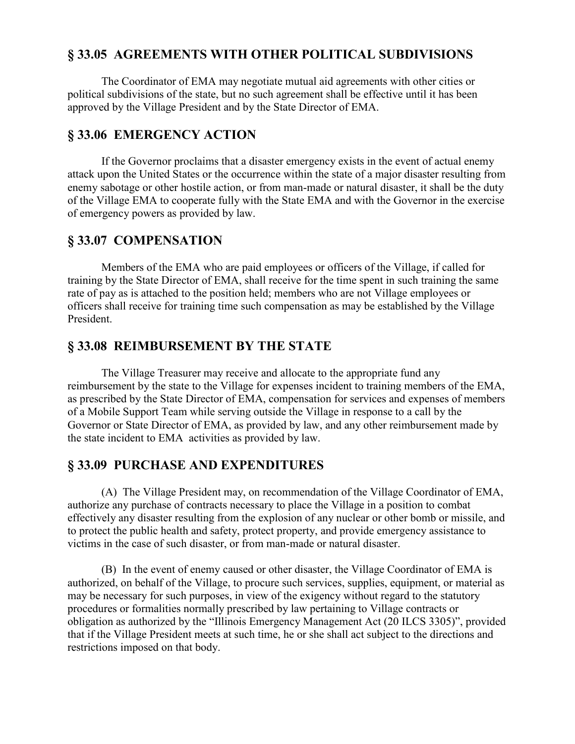# **§ 33.05 AGREEMENTS WITH OTHER POLITICAL SUBDIVISIONS**

The Coordinator of EMA may negotiate mutual aid agreements with other cities or political subdivisions of the state, but no such agreement shall be effective until it has been approved by the Village President and by the State Director of EMA.

## **§ 33.06 EMERGENCY ACTION**

If the Governor proclaims that a disaster emergency exists in the event of actual enemy attack upon the United States or the occurrence within the state of a major disaster resulting from enemy sabotage or other hostile action, or from man-made or natural disaster, it shall be the duty of the Village EMA to cooperate fully with the State EMA and with the Governor in the exercise of emergency powers as provided by law.

## **§ 33.07 COMPENSATION**

Members of the EMA who are paid employees or officers of the Village, if called for training by the State Director of EMA, shall receive for the time spent in such training the same rate of pay as is attached to the position held; members who are not Village employees or officers shall receive for training time such compensation as may be established by the Village President.

### **§ 33.08 REIMBURSEMENT BY THE STATE**

The Village Treasurer may receive and allocate to the appropriate fund any reimbursement by the state to the Village for expenses incident to training members of the EMA, as prescribed by the State Director of EMA, compensation for services and expenses of members of a Mobile Support Team while serving outside the Village in response to a call by the Governor or State Director of EMA, as provided by law, and any other reimbursement made by the state incident to EMA activities as provided by law.

## **§ 33.09 PURCHASE AND EXPENDITURES**

(A) The Village President may, on recommendation of the Village Coordinator of EMA, authorize any purchase of contracts necessary to place the Village in a position to combat effectively any disaster resulting from the explosion of any nuclear or other bomb or missile, and to protect the public health and safety, protect property, and provide emergency assistance to victims in the case of such disaster, or from man-made or natural disaster.

(B) In the event of enemy caused or other disaster, the Village Coordinator of EMA is authorized, on behalf of the Village, to procure such services, supplies, equipment, or material as may be necessary for such purposes, in view of the exigency without regard to the statutory procedures or formalities normally prescribed by law pertaining to Village contracts or obligation as authorized by the "Illinois Emergency Management Act (20 ILCS 3305)", provided that if the Village President meets at such time, he or she shall act subject to the directions and restrictions imposed on that body.